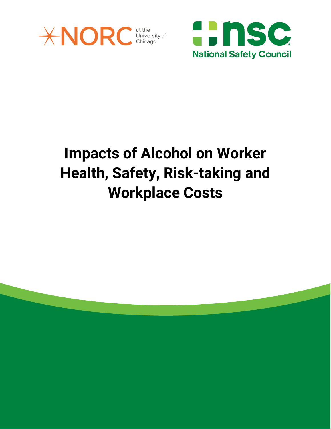

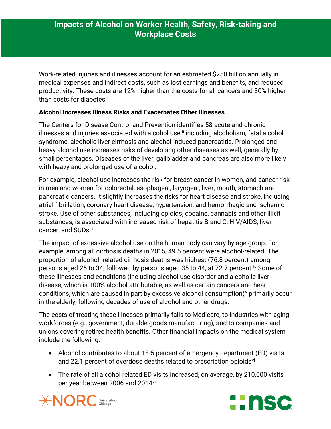Work-related injuries and illnesses account for an estimated \$250 billion annually in medical expenses and indirect costs, such as lost earnings and benefits, and reduced productivity. These costs are 12% higher than the costs for all cancers and 30% higher than costs for diabetes. [i](#page-5-0)

#### **Alcohol Increases Illness Risks and Exacerbates Other Illnesses**

The Centers for Disease Control and Prevention identifies 58 acute and chronic illnesses and injuries associated with alcohol use,<sup>[ii](#page-5-1)</sup> including alcoholism, fetal alcohol syndrome, alcoholic liver cirrhosis and alcohol-induced pancreatitis. Prolonged and heavy alcohol use increases risks of developing other diseases as well, generally by small percentages. Diseases of the liver, gallbladder and pancreas are also more likely with heavy and prolonged use of alcohol.

For example, alcohol use increases the risk for breast cancer in women, and cancer risk in men and women for colorectal, esophageal, laryngeal, liver, mouth, stomach and pancreatic cancers. It slightly increases the risks for heart disease and stroke, including atrial fibrillation, coronary heart disease, hypertension, and hemorrhagic and ischemic stroke. Use of other substances, including opioids, cocaine, cannabis and other illicit substances, is associated with increased risk of hepatitis B and C, HIV/AIDS, liver cancer, and SUDs.<sup>iii</sup>

The impact of excessive alcohol use on the human body can vary by age group. For example, among all cirrhosis deaths in 2015, 49.5 percent were alcohol-related. The proportion of alcohol- related cirrhosis deaths was highest (76.8 percent) among persons aged 25 to 34, followed by persons aged 35 to 44, at 72.7 percent.<sup>[iv](#page-5-3)</sup> Some of these illnesses and conditions (including alcohol use disorder and alcoholic liver disease, which is 100% alcohol attributable, as well as certain cancers and heart conditions, which are caused in part by excessi[v](#page-5-4)e alcohol consumption) $\gamma$  primarily occur in the elderly, following decades of use of alcohol and other drugs.

The costs of treating these illnesses primarily falls to Medicare, to industries with aging workforces (e.g., government, durable goods manufacturing), and to companies and unions covering retiree health benefits. Other financial impacts on the medical system include the following:

- Alcohol contributes to about 18.5 percent of emergency department (ED) visits and 22.1 percent of overdose deaths related to prescription opioids<sup>[vi](#page-5-5)</sup>
- The rate of all alcohol related ED visits increased, on average, by 210,000 visits per year between 2006 and 2014[vii](#page-5-6)



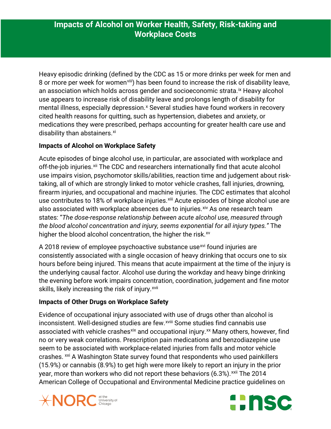Heavy episodic drinking (defined by the CDC as 15 or more drinks per week for men and 8 or more per week for women<sup>viii</sup>) has been found to increase the risk of disability leave, an association which holds across gender and socioeconomic strata.<sup>[ix](#page-5-8)</sup> Heavy alcohol use appears to increase risk of disability leave and prolongs length of disability for mental illness, especially depression.<sup>[x](#page-5-9)</sup> Several studies have found workers in recovery cited health reasons for quitting, such as hypertension, diabetes and anxiety, or medications they were prescribed, perhaps accounting for greater health care use and disability than abstainers.<sup>[xi](#page-5-10)</sup>

#### **Impacts of Alcohol on Workplace Safety**

Acute episodes of binge alcohol use, in particular, are associated with workplace and off-the-job injuries.<sup>[xii](#page-5-11)</sup> The CDC and researchers internationally find that acute alcohol use impairs vision, psychomotor skills/abilities, reaction time and judgement about risktaking, all of which are strongly linked to motor vehicle crashes, fall injuries, drowning, firearm injuries, and occupational and machine injuries. The CDC estimates that alcohol use contributes to 18% of workplace injuries.<sup>[xiii](#page-5-12)</sup> Acute episodes of binge alcohol use are also associated with workplace absences due to injuries. Xiv As one research team states: "*The dose-response relationship between acute alcohol use, measured through the blood alcohol concentration and injury, seems exponential for all injury types."* The higher the blood alcohol concentration, the higher the risk.<sup>[xv](#page-5-14)</sup>

A 2018 review of employee psychoactive substance use<sup>[xvi](#page-5-15)</sup> found injuries are consistently associated with a single occasion of heavy drinking that occurs one to six hours before being injured. This means that acute impairment at the time of the injury is the underlying causal factor. Alcohol use during the workday and heavy binge drinking the evening before work impairs concentration, coordination, judgement and fine motor skills, likely increasing the risk of injury.<sup>[xvii](#page-6-0)</sup>

### **Impacts of Other Drugs on Workplace Safety**

Evidence of occupational injury associated with use of drugs other than alcohol is inconsistent. Well-designed studies are few.<sup>xviii</sup> [S](#page-6-1)ome studies find cannabis use associated with vehicle crashes<sup>[xix](#page-6-2)</sup> and occupational injury.<sup>[xx](#page-6-3)</sup> Many others, however, find no or very weak correlations. Prescription pain medications and benzodiazepine use seem to be associated with workplace-related injuries from falls and motor vehicle crashes. <sup>[xxi](#page-6-4)</sup> A Washington State survey found that respondents who used painkillers (15.9%) or cannabis (8.9%) to get high were more likely to report an injury in the prior year, more than workers who did not report these behaviors (6.3%).<sup>[xxii](#page-6-5)</sup> The 2014 American College of Occupational and Environmental Medicine practice guidelines on



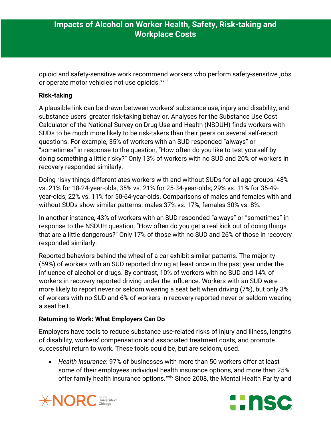opioid and safety-sensitive work recommend workers who perform safety-sensitive jobs or operate motor vehicles not use opioids.<sup>xxiii</sup>

#### **Risk-taking**

A plausible link can be drawn between workers' substance use, injury and disability, and substance users' greater risk-taking behavior. Analyses for the Substance Use Cost Calculator of the National Survey on Drug Use and Health (NSDUH) finds workers with SUDs to be much more likely to be risk-takers than their peers on several self-report questions. For example, 35% of workers with an SUD responded "always" or "sometimes" in response to the question, "How often do you like to test yourself by doing something a little risky?" Only 13% of workers with no SUD and 20% of workers in recovery responded similarly.

Doing risky things differentiates workers with and without SUDs for all age groups: 48% vs. 21% for 18-24-year-olds; 35% vs. 21% for 25-34-year-olds; 29% vs. 11% for 35-49 year-olds; 22% vs. 11% for 50-64-year-olds. Comparisons of males and females with and without SUDs show similar patterns: males 37% vs. 17%; females 30% vs. 8%.

In another instance, 43% of workers with an SUD responded "always" or "sometimes" in response to the NSDUH question, "How often do you get a real kick out of doing things that are a little dangerous?" Only 17% of those with no SUD and 26% of those in recovery responded similarly.

Reported behaviors behind the wheel of a car exhibit similar patterns. The majority (59%) of workers with an SUD reported driving at least once in the past year under the influence of alcohol or drugs. By contrast, 10% of workers with no SUD and 14% of workers in recovery reported driving under the influence. Workers with an SUD were more likely to report never or seldom wearing a seat belt when driving (7%), but only 3% of workers with no SUD and 6% of workers in recovery reported never or seldom wearing a seat belt.

#### **Returning to Work: What Employers Can Do**

Employers have tools to reduce substance use-related risks of injury and illness, lengths of disability, workers' compensation and associated treatment costs, and promote successful return to work. These tools could be, but are seldom, used.

• *Health insurance*: 97% of businesses with more than 50 workers offer at least some of their employees individual health insurance options, and more than 25% offer family health insurance options.<sup>[xxiv](#page-6-7)</sup> Since 2008, the Mental Health Parity and



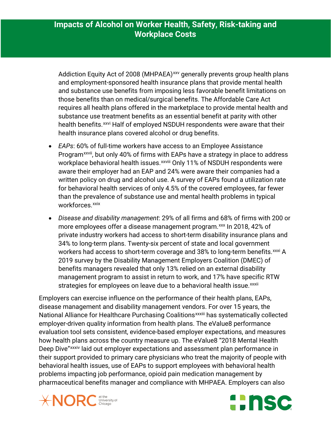Addiction Equity Act of 2008 (MHPAEA)<sup>[xxv](#page-6-8)</sup> generally prevents group health plans and employment-sponsored health insurance plans that provide mental health and substance use benefits from imposing less favorable benefit limitations on those benefits than on medical/surgical benefits. The Affordable Care Act requires all health plans offered in the marketplace to provide mental health and substance use treatment benefits as an essential benefit at parity with other health benefits.<sup>[xxvi](#page-6-9)</sup> Half of employed NSDUH respondents were aware that their health insurance plans covered alcohol or drug benefits.

- *EAPs*: 60% of full-time workers have access to an Employee Assistance Program<sup>xxvii</sup>[,](#page-6-10) but only 40% of firms with EAPs have a strategy in place to address workplace behavioral health issues.<sup>xxviii</sup> [O](#page-6-11)nly 11% of NSDUH respondents were aware their employer had an EAP and 24% were aware their companies had a written policy on drug and alcohol use. A survey of EAPs found a utilization rate for behavioral health services of only 4.5% of the covered employees, far fewer than the prevalence of substance use and mental health problems in typical workforces.<sup>[xxix](#page-6-12)</sup>
- *Disease and disability management*: 29% of all firms and 68% of firms with 200 or more employees offer a disease management program.<sup>[xxx](#page-6-13)</sup> In 2018, 42% of strateg[i](#page-6-15)es for employees on leave due to a behavioral health issue. xxxii private industry workers had access to short-term disability insurance plans and 34% to long-term plans. Twenty-six percent of state and local government workers had access to short-term coverage and 38% to long-term benefits.<sup>[xxxi](#page-6-14)</sup> A 2019 survey by the Disability Management Employers Coalition (DMEC) of benefits managers revealed that only 13% relied on an external disability management program to assist in return to work, and 17% have specific RTW

Employers can exercise influence on the performance of their health plans, EAPs, disease management and disability management vendors. For over 15 years, the National Alliance for Healt[h](#page-6-16)care Purchasing Coalitions<sup>xxxiii</sup> has systematically collected Deep Dive"<sup>xxxiv</sup> [l](#page-6-17)aid out employer expectations and assessment plan performance in employer-driven quality information from health plans. The eValue8 performance evaluation tool sets consistent, evidence-based employer expectations, and measures how health plans across the country measure up. The eValue8 "2018 Mental Health their support provided to primary care physicians who treat the majority of people with behavioral health issues, use of EAPs to support employees with behavioral health problems impacting job performance, opioid pain medication management by pharmaceutical benefits manager and compliance with MHPAEA. Employers can also



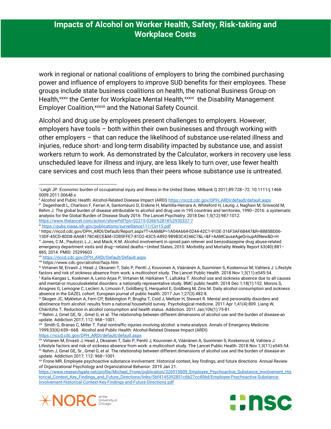work in regional or national coalitions of employers to bring the combined purchasing power and influence of employers to improve SUD benefits for their employees. These groups include state business coalitions on health, the national Business Group on Health, [xxxv](#page-6-18)the Center for Workplace Mental Health, xxxvi the Disability Management Employer Co[a](#page-6-20)lition, xxxvii and the National Safety Council.

Alcohol and drug use by employees present challenges to employers. However, employers have tools – both within their own businesses and through working with other employers – that can reduce the likelihood of substance use-related illness and injuries, reduce short- and long-term disability impacted by substance use, and assist workers return to work. As demonstrated by the Calculator, workers in recovery use less unscheduled leave for illness and injury, are less likely to turn over, use fewer health care services and cost much less than their peers whose substance use is untreated.

 $\overline{\phantom{a}}$ 

<span id="page-5-15"></span>[https://www.researchgate.net/profile/Michael\\_Frone/publication/326919609\\_Employee\\_Psychoactive\\_Substance\\_Involvement\\_His](https://www.researchgate.net/profile/Michael_Frone/publication/326919609_Employee_Psychoactive_Substance_Involvement_Historical_Context_Key_Findings_and_Future_Directions/links/5bf4145392851c6b27cc406d/Employee-Psychoactive-Substance-Involvement-Historical-Context-Key-Findings-and-Future-Directions.pdf) [torical\\_Context\\_Key\\_Findings\\_and\\_Future\\_Directions/links/5bf4145392851c6b27cc406d/Employee-Psychoactive-Substance-](https://www.researchgate.net/profile/Michael_Frone/publication/326919609_Employee_Psychoactive_Substance_Involvement_Historical_Context_Key_Findings_and_Future_Directions/links/5bf4145392851c6b27cc406d/Employee-Psychoactive-Substance-Involvement-Historical-Context-Key-Findings-and-Future-Directions.pdf)[Involvement-Historical-Context-Key-Findings-and-Future-Directions.pdf](https://www.researchgate.net/profile/Michael_Frone/publication/326919609_Employee_Psychoactive_Substance_Involvement_Historical_Context_Key_Findings_and_Future_Directions/links/5bf4145392851c6b27cc406d/Employee-Psychoactive-Substance-Involvement-Historical-Context-Key-Findings-and-Future-Directions.pdf)





<span id="page-5-0"></span><sup>i</sup> Leigh JP. Economic burden of occupational injury and illness in the United States. Milbank Q 2011;89:728–72. 10.1111/j.1468- 0009.2011.00648.x

ii Alcohol and Public Health: Alcohol-Related Disease Impact (ARDI[\) https://nccd.cdc.gov/DPH\\_ARDI/default/default.aspx](https://nccd.cdc.gov/DPH_ARDI/default/default.aspx)

<span id="page-5-2"></span><span id="page-5-1"></span>iii Degenhardt L, Charlson F, Ferrari A, Santomauro D, Erskine H, Mantilla-Herrara A, Whiteford H, Leung J, Naghavi M, Griswold M, Rehm J. The global burden of disease attributable to alcohol and drug use in 195 countries and territories, 1990–2016: a systematic analysis for the Global Burden of Disease Study 2016. The Lancet Psychiatry. 2018 Dec 1;5(12):987-1012. <https://www.thelancet.com/action/showPdf?pii=S2215-0366%2818%2930337-7>

<span id="page-5-3"></span>iv <https://pubs.niaaa.nih.gov/publications/surveillance111/Cirr15.pdf>

<span id="page-5-4"></span><sup>v</sup> https://nccd.cdc.gov/DPH\_ARDI/Default/Report.aspx?T=AAM&P=1A04A664-0244-42C1-91DE-316F3AF6B447&R=B885BD06-

<span id="page-5-5"></span><sup>13</sup>DF-45CD-8DD8-AA6B178C4ECE&M=32B5FFE7-81D2-43C5-A892-9B9B3C4246C7&L=&F=AAMCauseAgeGroupAllNew&D=H vi Jones, C.M.; Paulozzi, L.J.; and Mack, K.M. Alcohol involvement in opioid pain reliever and benzodiazepine drug abuse-related emergency department visits and drug—related deaths—United States, 2010. Morbidity and Mortality Weekly Report 63(40):881– 885, 2014. PMID: 25299603

<span id="page-5-6"></span>vii [https://nccd.cdc.gov/DPH\\_ARDI/Default/Default.aspx](https://nccd.cdc.gov/DPH_ARDI/Default/Default.aspx)

viii https://www.cdc.gov/alcohol/faqs.htm

<span id="page-5-9"></span><span id="page-5-8"></span><span id="page-5-7"></span>ix Virtanen M, Ervasti J, Head J, Oksanen T, Salo P, Pentti J, Kouvonen A, Väänänen A, Suominen S, Koskenvuo M, Vahtera J. Lifestyle factors and risk of sickness absence from work: a multicohort study. The Lancet Public Health. 2018 Nov 1;3(11):e545-54. <sup>x</sup> Kaila-Kangas L, Koskinen A, Leino-Arjas P, Virtanen M, Härkänen T, Lallukka T. Alcohol use and sickness absence due to all causes and mental-or musculoskeletal disorders: a nationally representative study. BMC public health. 2018 Dec 1;18(1):152. Morois S, Airagnes G, Lemogne C, Leclerc A, Limosin F, Goldberg S, Herquelot E, Goldberg M, Zins M. Daily alcohol consumption and sickness absence in the GAZEL cohort. European journal of public health. 2017 Jun 1;27(3):482-8.

<span id="page-5-10"></span>xi Skogen JC, Mykletun A, Ferri CP, Bebbington P, Brugha T, Coid J, Meltzer H, Stewart R. Mental and personality disorders and abstinence from alcohol: results from a national household survey. Psychological medicine. 2011 Apr 1;41(4):809. Liang W, Chikritzhs T. Reduction in alcohol consumption and health status. Addiction. 2011 Jan;106(1):75-81.

<span id="page-5-11"></span>xii Rehm J, Gmel GE, Sr., Gmel G, et al. The relationship between different dimensions of alcohol use and the burden of disease-an update. Addiction 2017; 112: 968–1001.

<span id="page-5-12"></span>xiii Smith G, Branas C, Miller T. Fatal nontraffic injuries involving alcohol: a meta-analysis. Annals of Emergency Medicine. 1999;33(6):659–668. Alcohol and Public Health: Alcohol-Related Disease Impact (ARDI) [https://nccd.cdc.gov/DPH\\_ARDI/default/default.aspx](https://nccd.cdc.gov/DPH_ARDI/default/default.aspx)

<span id="page-5-13"></span>xiv Virtanen M, Ervasti J, Head J, Oksanen T, Salo P, Pentti J, Kouvonen A, Väänänen A, Suominen S, Koskenvuo M, Vahtera J. Lifestyle factors and risk of sickness absence from work: a multicohort study. The Lancet Public Health. 2018 Nov 1;3(11):e545-54. xv Rehm J, Gmel GE, Sr., Gmel G, et al. The relationship between different dimensions of alcohol use and the burden of disease-an update. Addiction 2017; 112: 968–1001.

<span id="page-5-14"></span><sup>&</sup>lt;sup>xvi</sup> Frone MR. Employee psychoactive substance involvement: Historical context, key findings, and future directions. Annual Review of Organizational Psychology and Organizational Behavior. 2019 Jan 21.